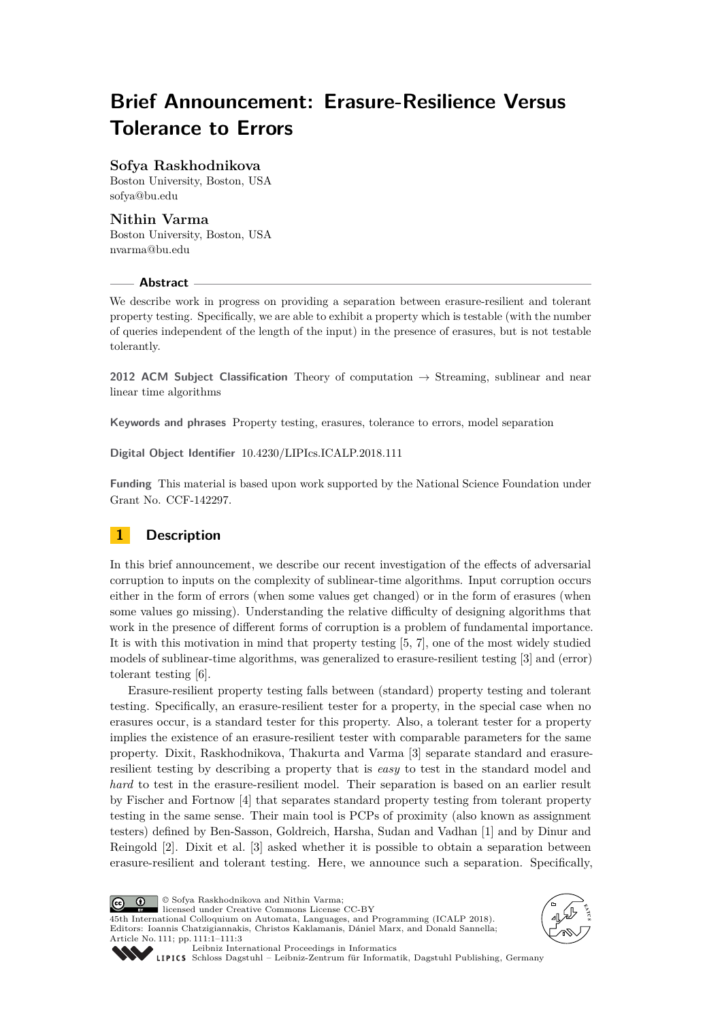# **Brief Announcement: Erasure-Resilience Versus Tolerance to Errors**

## **Sofya Raskhodnikova**

Boston University, Boston, USA [sofya@bu.edu](mailto:sofya@bu.edu)

### **Nithin Varma**

Boston University, Boston, USA [nvarma@bu.edu](mailto:nvarma@bu.edu)

#### **Abstract**

We describe work in progress on providing a separation between erasure-resilient and tolerant property testing. Specifically, we are able to exhibit a property which is testable (with the number of queries independent of the length of the input) in the presence of erasures, but is not testable tolerantly.

**2012 ACM Subject Classification** Theory of computation → Streaming, sublinear and near linear time algorithms

**Keywords and phrases** Property testing, erasures, tolerance to errors, model separation

**Digital Object Identifier** [10.4230/LIPIcs.ICALP.2018.111](http://dx.doi.org/10.4230/LIPIcs.ICALP.2018.111)

**Funding** This material is based upon work supported by the National Science Foundation under Grant No. CCF-142297.

# **1 Description**

In this brief announcement, we describe our recent investigation of the effects of adversarial corruption to inputs on the complexity of sublinear-time algorithms. Input corruption occurs either in the form of errors (when some values get changed) or in the form of erasures (when some values go missing). Understanding the relative difficulty of designing algorithms that work in the presence of different forms of corruption is a problem of fundamental importance. It is with this motivation in mind that property testing [\[5,](#page-2-0) [7\]](#page-2-1), one of the most widely studied models of sublinear-time algorithms, was generalized to erasure-resilient testing [\[3\]](#page-2-2) and (error) tolerant testing [\[6\]](#page-2-3).

Erasure-resilient property testing falls between (standard) property testing and tolerant testing. Specifically, an erasure-resilient tester for a property, in the special case when no erasures occur, is a standard tester for this property. Also, a tolerant tester for a property implies the existence of an erasure-resilient tester with comparable parameters for the same property. Dixit, Raskhodnikova, Thakurta and Varma [\[3\]](#page-2-2) separate standard and erasureresilient testing by describing a property that is *easy* to test in the standard model and *hard* to test in the erasure-resilient model. Their separation is based on an earlier result by Fischer and Fortnow [\[4\]](#page-2-4) that separates standard property testing from tolerant property testing in the same sense. Their main tool is PCPs of proximity (also known as assignment testers) defined by Ben-Sasson, Goldreich, Harsha, Sudan and Vadhan [\[1\]](#page-2-5) and by Dinur and Reingold [\[2\]](#page-2-6). Dixit et al. [\[3\]](#page-2-2) asked whether it is possible to obtain a separation between erasure-resilient and tolerant testing. Here, we announce such a separation. Specifically,

© Sofya Raskhodnikova and Nithin Varma;  $\boxed{6}$ licensed under Creative Commons License CC-BY 45th International Colloquium on Automata, Languages, and Programming (ICALP 2018). Editors: Ioannis Chatzigiannakis, Christos Kaklamanis, Dániel Marx, and Donald Sannella; Article No. 111; pp. 111:1–111[:3](#page-2-7)





[Leibniz International Proceedings in Informatics](http://www.dagstuhl.de/lipics/)

[Schloss Dagstuhl – Leibniz-Zentrum für Informatik, Dagstuhl Publishing, Germany](http://www.dagstuhl.de)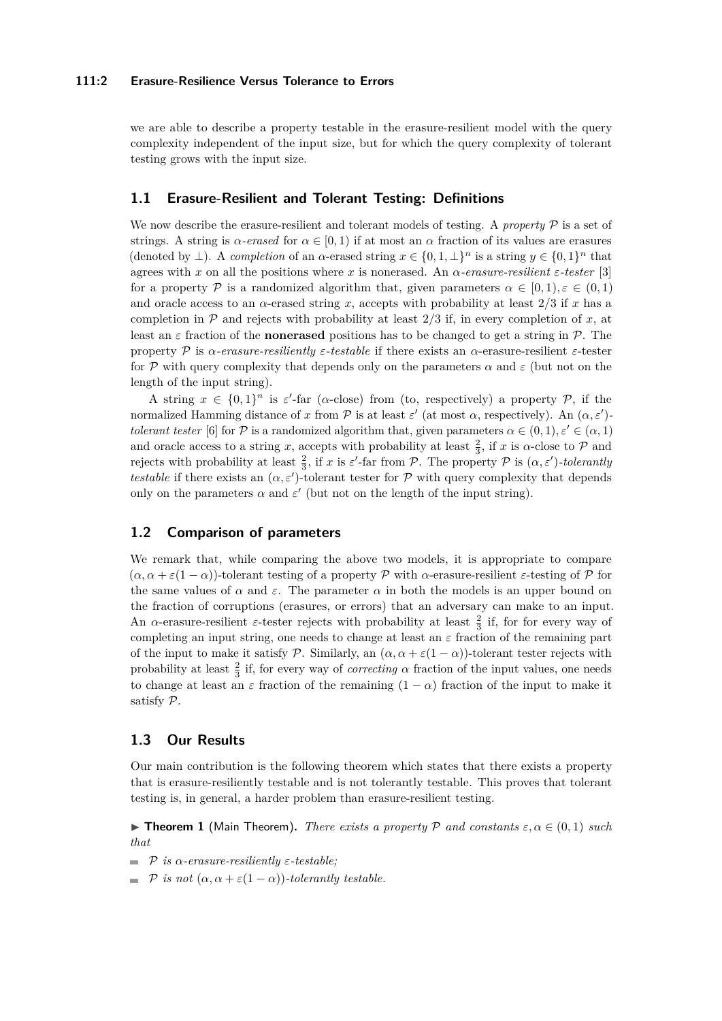#### **111:2 Erasure-Resilience Versus Tolerance to Errors**

we are able to describe a property testable in the erasure-resilient model with the query complexity independent of the input size, but for which the query complexity of tolerant testing grows with the input size.

#### **1.1 Erasure-Resilient and Tolerant Testing: Definitions**

We now describe the erasure-resilient and tolerant models of testing. A *property*  $P$  is a set of strings. A string is  $\alpha$ -erased for  $\alpha \in [0, 1)$  if at most an  $\alpha$  fraction of its values are erasures (denoted by  $\perp$ ). A *completion* of an  $\alpha$ -erased string  $x \in \{0, 1, \perp\}^n$  is a string  $y \in \{0, 1\}^n$  that agrees with *x* on all the positions where *x* is nonerased. An *α-erasure-resilient ε-tester* [\[3\]](#page-2-2) for a property P is a randomized algorithm that, given parameters  $\alpha \in [0,1)$ ,  $\varepsilon \in (0,1)$ and oracle access to an *α*-erased string *x*, accepts with probability at least 2*/*3 if *x* has a completion in  $\mathcal P$  and rejects with probability at least  $2/3$  if, in every completion of *x*, at least an  $\varepsilon$  fraction of the **nonerased** positions has to be changed to get a string in  $\mathcal{P}$ . The property P is *α-erasure-resiliently ε-testable* if there exists an *α*-erasure-resilient *ε*-tester for P with query complexity that depends only on the parameters  $\alpha$  and  $\varepsilon$  (but not on the length of the input string).

A string  $x \in \{0,1\}^n$  is  $\varepsilon'$ -far ( $\alpha$ -close) from (to, respectively) a property P, if the normalized Hamming distance of *x* from  $\mathcal P$  is at least  $\varepsilon'$  (at most  $\alpha$ , respectively). An  $(\alpha, \varepsilon')$ *tolerant tester* [\[6\]](#page-2-3) for P is a randomized algorithm that, given parameters  $\alpha \in (0,1)$ ,  $\varepsilon' \in (\alpha,1)$ and oracle access to a string *x*, accepts with probability at least  $\frac{2}{3}$ , if *x* is *α*-close to  $P$  and rejects with probability at least  $\frac{2}{3}$ , if *x* is *ε'*-far from P. The property P is  $(\alpha, \varepsilon')$ -tolerantly *testable* if there exists an  $(\alpha, \varepsilon')$ -tolerant tester for P with query complexity that depends only on the parameters  $\alpha$  and  $\varepsilon'$  (but not on the length of the input string).

#### **1.2 Comparison of parameters**

We remark that, while comparing the above two models, it is appropriate to compare  $(\alpha, \alpha + \varepsilon(1-\alpha))$ -tolerant testing of a property P with  $\alpha$ -erasure-resilient  $\varepsilon$ -testing of P for the same values of  $\alpha$  and  $\varepsilon$ . The parameter  $\alpha$  in both the models is an upper bound on the fraction of corruptions (erasures, or errors) that an adversary can make to an input. An  $\alpha$ -erasure-resilient *ε*-tester rejects with probability at least  $\frac{2}{3}$  if, for for every way of completing an input string, one needs to change at least an *ε* fraction of the remaining part of the input to make it satisfy P. Similarly, an  $(\alpha, \alpha + \varepsilon(1 - \alpha))$ -tolerant tester rejects with probability at least  $\frac{2}{3}$  if, for every way of *correcting*  $\alpha$  fraction of the input values, one needs to change at least an  $\varepsilon$  fraction of the remaining  $(1 - \alpha)$  fraction of the input to make it satisfy P.

#### **1.3 Our Results**

Our main contribution is the following theorem which states that there exists a property that is erasure-resiliently testable and is not tolerantly testable. This proves that tolerant testing is, in general, a harder problem than erasure-resilient testing.

**Figure 1** (Main Theorem). *There exists a property* P *and constants*  $\varepsilon, \alpha \in (0,1)$  *such that*

- P *is α-erasure-resiliently ε-testable;*  $\rightarrow$
- $\blacksquare$  *P* is not  $(\alpha, \alpha + \varepsilon(1 \alpha))$ -tolerantly testable.